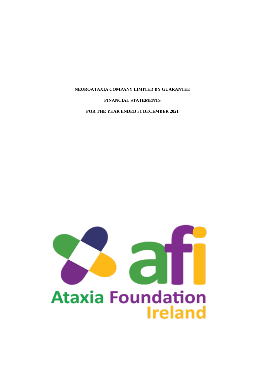## **FINANCIAL STATEMENTS**

**FOR THE YEAR ENDED 31 DECEMBER 2021**

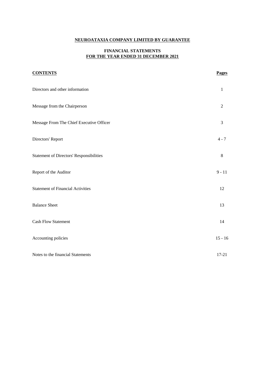# **FINANCIAL STATEMENTS FOR THE YEAR ENDED 31 DECEMBER 2021**

| <b>CONTENTS</b>                                 | <b>Pages</b>   |
|-------------------------------------------------|----------------|
| Directors and other information                 | 1              |
| Message from the Chairperson                    | $\overline{2}$ |
| Message From The Chief Executive Officer        | $\mathfrak{Z}$ |
| Directors' Report                               | $4 - 7$        |
| <b>Statement of Directors' Responsibilities</b> | $\,8\,$        |
| Report of the Auditor                           | $9 - 11$       |
| <b>Statement of Financial Activities</b>        | 12             |
| <b>Balance Sheet</b>                            | 13             |
| <b>Cash Flow Statement</b>                      | 14             |
| Accounting policies                             | $15 - 16$      |
| Notes to the financial Statements               | $17 - 21$      |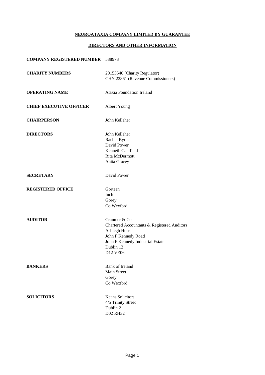## **DIRECTORS AND OTHER INFORMATION**

# **COMPANY REGISTERED NUMBER** 588973

| <b>CHARITY NUMBERS</b>         | 20153540 (Charity Regulator)<br>CHY 22861 (Revenue Commissioners)                                                                                                |
|--------------------------------|------------------------------------------------------------------------------------------------------------------------------------------------------------------|
| <b>OPERATING NAME</b>          | <b>Ataxia Foundation Ireland</b>                                                                                                                                 |
| <b>CHIEF EXECUTIVE OFFICER</b> | <b>Albert Young</b>                                                                                                                                              |
| <b>CHAIRPERSON</b>             | John Kelleher                                                                                                                                                    |
| <b>DIRECTORS</b>               | John Kelleher<br>Rachel Byrne<br>David Power<br>Kenneth Caulfield<br>Rita McDermott<br>Anita Gracey                                                              |
| <b>SECRETARY</b>               | David Power                                                                                                                                                      |
| <b>REGISTERED OFFICE</b>       | Gorteen<br>Inch<br>Gorey<br>Co Wexford                                                                                                                           |
| <b>AUDITOR</b>                 | Cranmer & Co<br>Chartered Accountants & Registered Auditors<br>Ashlegh House<br>John F Kennedy Road<br>John F Kennedy Industrial Estate<br>Dublin 12<br>D12 VE06 |
| <b>BANKERS</b>                 | Bank of Ireland<br>Main Street<br>Gorey<br>Co Wexford                                                                                                            |
| <b>SOLICITORS</b>              | <b>Keans Solicitors</b><br>4/5 Trinity Street<br>Dublin 2<br>D02 RH32                                                                                            |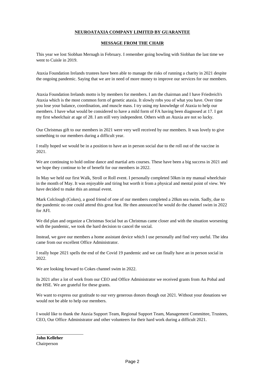### **MESSAGE FROM THE CHAIR**

This year we lost Siobhan Mernagh in February. I remember going bowling with Siobhan the last time we went to Cuisle in 2019.

Ataxia Foundation Irelands trustees have been able to manage the risks of running a charity in 2021 despite the ongoing pandemic. Saying that we are in need of more money to improve our services for our members.

Ataxia Foundation Irelands motto is by members for members. I am the chairman and I have Friedreich's Ataxia which is the most common form of genetic ataxia. It slowly robs you of what you have. Over time you lose your balance, coordination, and muscle mass. I try using my knowledge of Ataxia to help our members. I have what would be considered to have a mild form of FA having been diagnosed at 17. I got my first wheelchair at age of 28. I am still very independent. Others with an Ataxia are not so lucky.

Our Christmas gift to our members in 2021 were very well received by our members. It was lovely to give something to our members during a difficult year.

I really hoped we would be in a position to have an in person social due to the roll out of the vaccine in 2021.

We are continuing to hold online dance and martial arts courses. These have been a big success in 2021 and we hope they continue to be of benefit for our members in 2022.

In May we held our first Walk, Stroll or Roll event. I personally completed 50km in my manual wheelchair in the month of May. It was enjoyable and tiring but worth it from a physical and mental point of view. We have decided to make this an annual event.

Mark Colclough (Cokes), a good friend of one of our members completed a 20km sea swim. Sadly, due to the pandemic no one could attend this great feat. He then announced he would do the channel swim in 2022 for AFI.

We did plan and organize a Christmas Social but as Christmas came closer and with the situation worsening with the pandemic, we took the hard decision to cancel the social.

Instead, we gave our members a home assistant device which I use personally and find very useful. The idea came from our excellent Office Administrator.

I really hope 2021 spells the end of the Covid 19 pandemic and we can finally have an in person social in 2022.

We are looking forward to Cokes channel swim in 2022.

In 2021 after a lot of work from our CEO and Office Administrator we received grants from An Pobal and the HSE. We are grateful for these grants.

We want to express our gratitude to our very generous donors though out 2021. Without your donations we would not be able to help our members.

I would like to thank the Ataxia Support Team, Regional Support Team, Management Committee, Trustees, CEO, Our Office Administrator and other volunteers for their hard work during a difficult 2021.

**John Kelleher** Chairperson

\_\_\_\_\_\_\_\_\_\_\_\_\_\_\_\_\_\_\_\_\_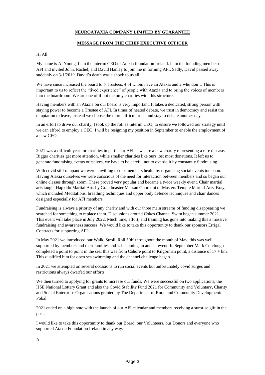# **MESSAGE FROM THE CHIEF EXECUTIVE OFFICER**

#### Hi All

My name is Al Young, I am the interim CEO of Ataxia foundation Ireland. I am the founding member of AFI and invited John, Rachel, and David Hanley to join me in forming AFI. Sadly, David passed away suddenly on 3/1/2019. David's death was a shock to us all.

We have since increased the board to 6 Trustees, 4 of whom have an Ataxia and 2 who don't. This is important to us to reflect the "lived experience" of people with Ataxia and to bring the voices of members into the boardroom. We are one of if not the only charities with this structure.

Having members with an Ataxia on our board is very important. It takes a dedicated, strong person with staying power to become a Trustee of AFI. In times of heated debate, we trust in democracy and resist the temptation to leave, instead we choose the more difficult road and stay to debate another day.

In an effort to drive our charity, I took up the roll as Interim CEO, to ensure we followed our strategy until we can afford to employ a CEO. I will be resigning my position in September to enable the employment of a new CEO.

2021 was a difficult year for charities in particular AFI as we are a new charity representing a rare disease. Bigger charities get more attention, while smaller charities like ours lost most donations. It left us to generate fundraising events ourselves, we have to be careful not to overdo it by constantly fundraising.

With covid still rampant we were unwilling to risk members health by organising social events too soon. Having Ataxia ourselves we were conscious of the need for interaction between members and so began our online classes through zoom. These proved very popular and became a twice weekly event. Chair martial arts taught Hapkido Martial Arts by Grandmaster Massan Ghorbani of Masters Temple Martial Arts, Bray, which included Meditations, breathing techniques and upper body defence techniques and chair dances designed especially for AFI members.

Fundraising is always a priority of any charity and with our three main streams of funding disappearing we searched for something to replace them. Discussions around Cokes Channel Swim began summer 2021. This event will take place in July 2022. Much time, effort, and training has gone into making this a massive fundraising and awareness success. We would like to take this opportunity to thank our sponsors Errigal Contracts for supporting AFI.

In May 2021 we introduced our Walk, Stroll, Roll 50K throughout the month of May, this was well supported by members and their families and is becoming an annual event. In September Mark Colclough completed a point to point in the sea, this was from Cahore point to Kilgorman point, a distance of  $17 + km$ . This qualified him for open sea swimming and the channel challenge began.

In 2021 we attempted on several occasions to run social events but unfortunately covid surges and restrictions always dwarfed our efforts.

We then turned to applying for grants to increase our funds. We were successful on two applications, the HSE National Lottery Grant and also the Covid Stability Fund 2021 for Community and Voluntary, Charity and Social Enterprise Organisations granted by The Department of Rural and Community Development/ Pobal.

2021 ended on a high note with the launch of our AFI calendar and members receiving a surprise gift in the post.

I would like to take this opportunity to thank our Board, our Volunteers, our Donors and everyone who supported Ataxia Foundation Ireland in any way.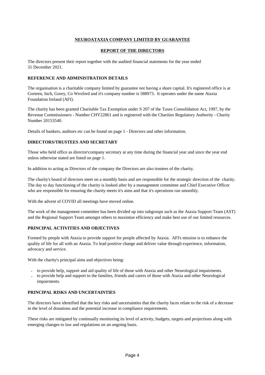## **REPORT OF THE DIRECTORS**

The directors present their report together with the audited financial statements for the year ended 31 December 2021.

## **REFERENCE AND ADMINISTRATION DETAILS**

The organisation is a charitable company limited by guarantee not having a share capital. It's registered office is at Gorteen, Inch, Gorey, Co Wexford and it's company number is 588973. It operates under the name Ataxia Foundation Ireland (AFI).

The charity has been granted Charitable Tax Exemption under S 207 of the Taxes Consolidation Act, 1997, by the Revenue Commissioners - Number CHY22861 and is registered with the Charities Regulatory Authority - Charity Number 20153540.

Details of bankers, auditors etc can be found on page 1 - Directors and other information.

#### **DIRECTORS/TRUSTEES AND SECRETARY**

Those who held office as director\company secretary at any time during the financial year and since the year end unless otherwise stated are listed on page 1.

In addition to acting as Directors of the company the Directors are also trustees of the charity.

The charity's board of directors meet on a monthly basis and are responsible for the strategic direction of the charity. The day to day functioning of the charity is looked after by a management committee and Chief Executive Officer who are responsible for ensuring the charity meets it's aims and that it's operations run smoothly.

With the advent of COVID all meetings have moved online.

The work of the management committee has been divided up into subgroups such as the Ataxia Support Team (AST) and the Regional Support Team amongst others to maximise efficiency and make best use of our limited resources.

### **PRINCIPAL ACTIVITIES AND OBJECTIVES**

Formed by people with Ataxia to provide support for people affected by Ataxia. AFI's mission is to enhance the quality of life for all with an Ataxia. To lead positive change and deliver value through experience, information, advocacy and service.

With the charity's principal aims and objectives being:

- to provide help, support and aid quality of life of those with Ataxia and other Neurological impairments.
- to provide help and support to the families, friends and carers of those with Ataxia and other Neurological impairments.

#### **PRINCIPAL RISKS AND UNCERTAINTIES**

The directors have identified that the key risks and uncertainties that the charity faces relate to the risk of a decrease in the level of donations and the potential increase in compliance requirements.

These risks are mitigated by continually monitoring its level of activity, budgets, targets and projections along with emerging changes to law and regulations on an ongoing basis.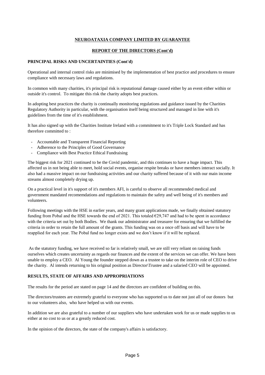## **REPORT OF THE DIRECTORS (Cont'd)**

#### **PRINCIPAL RISKS AND UNCERTAINTIES (Cont'd)**

Operational and internal control risks are minimised by the implementation of best practice and procedures to ensure compliance with necessary laws and regulations.

In common with many charities, it's principal risk is reputational damage caused either by an event either within or outside it's control. To mitigate this risk the charity adopts best practices.

In adopting best practices the charity is continually monitoring regulations and guidance issued by the Charities Regulatory Authority in particular, with the organisation itself being structured and managed in line with it's guidelines from the time of it's establishment.

It has also signed up with the Charities Institute Ireland with a commitment to it's Triple Lock Standard and has therefore committed to :

- Accountable and Transparent Financial Reporting
- Adherence to the Principles of Good Governance
- Compliance with Best Practice Ethical Fundraising

The biggest risk for 2021 continued to be the Covid pandemic, and this continues to have a huge impact. This affected us in not being able to meet, hold social events, organise respite breaks or have members interact socially. It also had a massive impact on our fundraising activities and our charity suffered because of it with our main income streams almost completely drying up.

On a practical level in it's support of it's members AFI, is careful to observe all recommended medical and government mandated recomemdations and regulations to maintain the safety and well being of it's members and volunteers.

Following meetings with the HSE in earlier years, and many grant applications made, we finally obtained statutory funding from Pobal and the HSE towards the end of 2021. This totaled  $\epsilon$ 29,747 and had to be spent in accordance with the criteria set out by both Bodies. We thank our administrator and treasurer for ensuring that we fulfilled the criteria in order to retain the full amount of the grants. This funding was on a once off basis and will have to be reapplied for each year. The Pobal fund no longer exists and we don't know if it will be replaced.

 As the statutory funding, we have received so far is relatively small, we are still very reliant on raising funds ourselves which creates uncertainty as regards our finances and the extent of the services we can offer. We have been unable to employ a CEO. Al Young the founder stepped down as a trustee to take on the interim role of CEO to drive the charity. Al intends returning to his original position as Director\Trustee and a salaried CEO will be appointed.

#### **RESULTS, STATE OF AFFAIRS AND APPROPRIATIONS**

The results for the period are stated on page 14 and the directors are confident of building on this.

The directors/trustees are extremely grateful to everyone who has supported us to date not just all of our donors but to our volunteers also, who have helped us with our events.

In addition we are also grateful to a number of our suppliers who have undertaken work for us or made supplies to us either at no cost to us or at a greatly reduced cost.

In the opinion of the directors, the state of the company's affairs is satisfactory.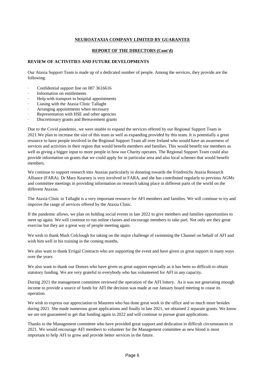## **REPORT OF THE DIRECTORS (Cont'd)**

## **REVIEW OF ACTIVITIES AND FUTURE DEVELOPMENTS**

Our Ataxia Support Team is made up of a dedicated number of people. Among the services, they provide are the following:

- Confidential support line on 087 3616616
- Information on entitlements
- · Help with transport to hospital appointments
- Liasing with the Ataxia Clinic Tallaght
- Arranging appointments when necessary
- Representation with HSE and other agencies
- Discretionary grants and Bereavement grants

Due to the Covid pandemic, we were unable to expand the services offered by our Regional Support Team in 2021.We plan to increase the size of this team as well as expanding provided by this team. It is potentially a great resource to have people involved in the Regional Support Team all over Ireland who would have an awareness of services and activities in their region that would benefit members and families. This would benefit our members as well as giving a bigger input to more people in how our Charity operates. The Regional Support Team could also provide information on grants that we could apply for in particular area and also local schemes that would benefit members.

We continue to support research into Ataxias particularly in donating towards the Friedreichs Ataxia Research Alliance (FARA). Dr Mary Kearney is very involved in FARA, and she has contributed regularly to previous AGMs and committee meetings in providing information on research taking place in different parts of the world on the different Ataxias.

The Ataxia Clinic in Tallaght is a very important resource for AFI members and families. We will continue to try and improve the range of services offered by the Ataxia Clinic.

If the pandemic allows, we plan on holding social events in late 2022 to give members and families opportunities to meet up again. We will continue to run online classes and encourage members to take part. Not only are they great exercise but they are a great way of people meeting again.

We wish to thank Mark Colclough for taking on the major challenge of swimming the Channel on behalf of AFI and wish him well in his training in the coming months.

We also want to thank Errigal Contracts who are supporting the event and have given us great support in many ways over the years

We also want to thank our Donors who have given us great support especially as it has been so difficult to obtain statutory funding. We are very grateful to everybody who has volunteered for AFI in any capacity.

During 2021 the management committee reviewed the operation of the AFI lottery. As it was not generating enough income to provide a source of funds for AFI the decision was made at our January board meeting to cease its operation.

We wish to express our appreciation to Maureen who has done great work in the office and so much more besides during 2021. She made numerous grant applications and finally in late 2021, we obtained 2 separate grants. We know we are not guaranteed to get that funding again in 2022 and will continue to pursue grant applications.

Thanks to the Management committee who have provided great support and dedication in difficult circumstances in 2021. We would encourage AFI members to volunteer for the Management committee as new blood is most important to help AFI to grow and provide better services in the future.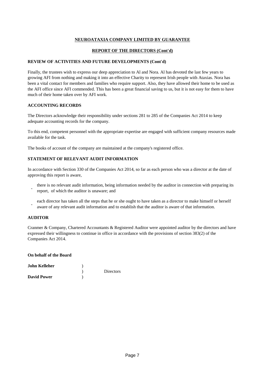# **REPORT OF THE DIRECTORS (Cont'd)**

#### **REVIEW OF ACTIVITIES AND FUTURE DEVELOPMENTS (Cont'd)**

Finally, the trustees wish to express our deep appreciation to Al and Nora. Al has devoted the last few years to growing AFI from nothing and making it into an effective Charity to represent Irish people with Ataxias. Nora has been a vital contact for members and families who require support. Also, they have allowed their home to be used as the AFI office since AFI commended. This has been a great financial saving to us, but it is not easy for them to have much of their home taken over by AFI work.

# **ACCOUNTING RECORDS**

The Directors acknowledge their responsibility under sections 281 to 285 of the Companies Act 2014 to keep adequate accounting records for the company.

To this end, competent personnel with the appropriate expertise are engaged with sufficient company resources made available for the task.

The books of account of the company are maintained at the company's registered office.

#### **STATEMENT OF RELEVANT AUDIT INFORMATION**

In accordance with Section 330 of the Companies Act 2014, so far as each person who was a director at the date of approving this report is aware,

- there is no relevant audit information, being information needed by the auditor in connection with preparing its report, of which the auditor is unaware; and
- each director has taken all the steps that he or she ought to have taken as a director to make himself or herself aware of any relevant audit information and to establish that the auditor is aware of that information.

# **AUDITOR**

-

Cranmer & Company, Chartered Accountants & Registered Auditor were appointed auditor by the directors and have expressed their willingness to continue in office in accordance with the provisions of section 383(2) of the Companies Act 2014.

#### **On behalf of the Board**

| John Kelleher |                  |
|---------------|------------------|
|               | <b>Directors</b> |
| David Power   |                  |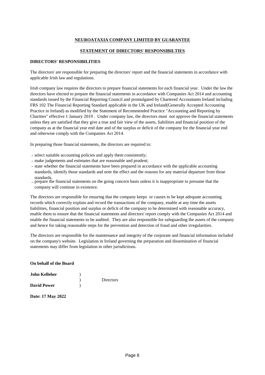# **STATEMENT OF DIRECTORS' RESPONSIBILTIES**

#### **DIRECTORS' RESPONSIBILITIES**

The directors' are responsible for preparing the directors' report and the financial statements in accordance with applicable Irish law and regulations.

Irish company law requires the directors to prepare financial statements for each financial year. Under the law the directors have elected to prepare the financial statements in accordance with Companies Act 2014 and accounting standards issued by the Financial Reporting Council and promulgated by Chartered Accountants Ireland including FRS 102 The Financial Reporting Standard applicable in the UK and Ireland(Generally Accepted Accounting Practice in Ireland) as modified by the Statement of Recommended Practice "Accounting and Reporting by Charities" effective 1 January 2019 . Under company law, the directors must not approve the financial statements unless they are satisfied that they give a true and fair view of the assets, liabilities and financial position of the company as at the financial year end date and of the surplus or deficit of the company for the financial year end and otherwise comply with the Companies Act 2014.

In preparing those financial statements, the directors are required to:

- select suitable accounting policies and apply them consistently;
- make judgements and estimates that are reasonable and prudent;
- state whether the financial statements have been prepared in accordance with the applicable accounting standards, identify those standards and note the effect and the reasons for any material departure from those standards.
- prepare the financial statements on the going concern basis unless it is inappropriate to presume that the company will continue in existence.

The directors are responsible for ensuring that the company keeps or causes to be kept adequate accounting records which correctly explain and record the transactions of the company, enable at any time the assets liabilities, financial position and surplus or deficit of the company to be determined with reasonable accuracy, enable them to ensure that the financial statements and directors' report comply with the Companies Act 2014 and enable the financial statements to be audited. They are also responsible for safeguarding the assets of the company and hence for taking reasonable steps for the prevention and detection of fraud and other irregularities.

The directors are responsible for the maintenance and integrity of the corporate and financial information included on the company's website. Legislation in Ireland governing the preparation and dissemination of financial statements may differ from legislation in other jurisdictions.

#### **On behalf of the Board**

| John Kelleher.     |                  |
|--------------------|------------------|
|                    | <b>Directors</b> |
| <b>David Power</b> |                  |
|                    |                  |

**Date: 17 May 2022**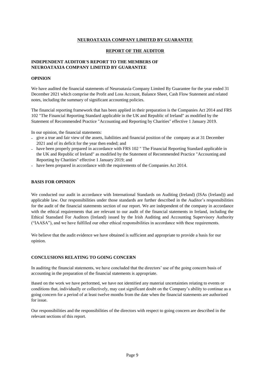#### **REPORT OF THE AUDITOR**

### **INDEPENDENT AUDITOR'S REPORT TO THE MEMBERS OF NEUROATAXIA COMPANY LIMITED BY GUARANTEE**

#### **OPINION**

We have audited the financial statements of Neuroataxia Company Limited By Guarantee for the year ended 31 December 2021 which comprise the Profit and Loss Account, Balance Sheet, Cash Flow Statement and related notes, including the summary of significant accounting policies.

The financial reporting framework that has been applied in their preparation is the Companies Act 2014 and FRS 102 "The Financial Reporting Standard applicable in the UK and Republic of Ireland" as modified by the Statement of Recommended Practice "Accounting and Reporting by Charities" effective 1 January 2019.

In our opinion, the financial statements:

- give a true and fair view of the assets, liabilities and financial position of the company as at 31 December 2021 and of its deficit for the year then ended; and
- have been properly prepared in accordance with FRS 102 " The Financial Reporting Standard applicable in the UK and Republic of Ireland" as modified by the Statement of Recommended Practice "Accounting and Reporting by Charities" effective 1 January 2019; and
- have been prepared in accordance with the requirements of the Companies Act 2014.

#### **BASIS FOR OPINION**

We conducted our audit in accordance with International Standards on Auditing (Ireland) (ISAs (Ireland)) and applicable law. Our responsibilities under those standards are further described in the Auditor's responsibilities for the audit of the financial statements section of our report. We are independent of the company in accordance with the ethical requirements that are relevant to our audit of the financial statements in Ireland, including the Ethical Stansdard For Auditors (Ireland) issued by the Irish Auditing and Accounting Supervisory Authority ("IAASA"), and we have fulfilled our other ethical responsibilities in accordance with these requirements.

We believe that the audit evidence we have obtained is sufficient and appropriate to provide a basis for our opinion.

#### **CONCLUSIONS RELATING TO GOING CONCERN**

In auditing the financial statements, we have concluded that the directors' use of the going concern basis of accounting in the preparation of the financial statements is appropriate.

Based on the work we have performed, we have not identified any material uncertainties relating to events or conditions that, individually or collectively, may cast significant doubt on the Company's ability to continue as a going concern for a period of at least twelve months from the date when the financial statements are authorised for issue.

Our responsibilities and the responsibilities of the directors with respect to going concern are described in the relevant sections of this report.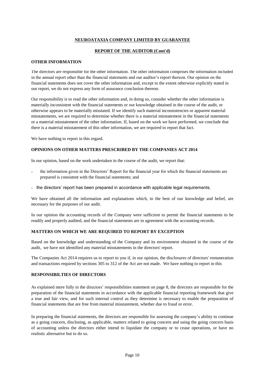# **REPORT OF THE AUDITOR (Cont'd)**

## **OTHER INFORMATION**

The directors are responsible for the other information. The other information comprises the information included in the annual report other than the financial statements and our auditor's report thereon. Our opinion on the financial statements does not cover the other information and, except to the extent otherwise explicitly stated in our report, we do not express any form of assurance conclusion thereon.

Our responsibility is to read the other information and, in doing so, consider whether the other information is materially inconsistent with the financial statements or our knowledge obtained in the course of the audit, or otherwise appears to be materially misstated. If we identify such material inconsistencies or apparent material misstatements, we are required to determine whether there is a material misstatement in the financial statements or a material misstatement of the other information. If, based on the work we have performed, we conclude that there is a material misstatement of this other information, we are required to report that fact.

We have nothing to report in this regard.

# **OPINIONS ON OTHER MATTERS PRESCRIBED BY THE COMPANIES ACT 2014**

In our opinion, based on the work undertaken in the course of the audit, we report that:

- the information given in the Directors' Report for the financial year for which the financial statements are prepared is consistent with the financial statements; and
- the directors' report has been prepared in accordance with applicable legal requirements.

We have obtained all the information and explanations which, to the best of our knowledge and belief, are necessary for the purposes of our audit.

In our opinion the accounting records of the Company were sufficient to permit the financial statements to be readily and properly audited, and the financial statements are in agreement with the accounting records.

#### **MATTERS ON WHICH WE ARE REQUIRED TO REPORT BY EXCEPTION**

Based on the knowledge and understanding of the Company and its environment obtained in the course of the audit, we have not identified any material misstatements in the directors' report.

The Companies Act 2014 requires us to report to you if, in our opinion, the disclosures of directors' remuneration and transactions required by sections 305 to 312 of the Act are not made. We have nothing to report in this

#### **RESPONSIBILTIES OF DIRECTORS**

As explained more fully in the directors' responsibilities statement on page 8, the directors are responsible for the preparation of the financial statements in accordance with the applicable financial reporting framework that give a true and fair view, and for such internal control as they determine is necessary to enable the preparation of financial statements that are free from material misstatement, whether due to fraud or error.

In preparing the financial statements, the directors are responsible for assessing the company's ability to continue as a going concern, disclosing, as applicable, matters related to going concern and using the going concern basis of accounting unless the directors either intend to liquidate the company or to cease operations, or have no realistic alternative but to do so.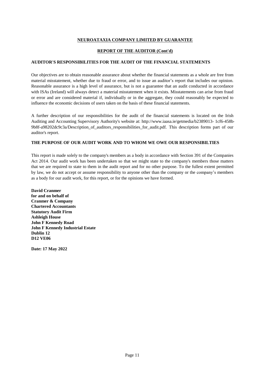# **REPORT OF THE AUDITOR (Cont'd)**

## **AUDITOR'S RESPONSIBILITIES FOR THE AUDIT OF THE FINANCIAL STATEMENTS**

Our objectives are to obtain reasonable assurance about whether the financial statements as a whole are free from material misstatement, whether due to fraud or error, and to issue an auditor's report that includes our opinion. Reasonable assurance is a high level of assurance, but is not a guarantee that an audit conducted in accordance with ISAs (Ireland) will always detect a material misstatement when it exists. Misstatements can arise from fraud or error and are considered material if, individually or in the aggregate, they could reasonably be expected to influence the economic decisions of users taken on the basis of these financial statements.

A further description of our responsibilities for the audit of the financial statements is located on the Irish Auditing and Accounting Supervisory Authority's website at: http://www.iaasa.ie/getmedia/b2389013- 1cf6-458b-9b8f-a98202dc9c3a/Description\_of\_auditors\_responsibilities\_for\_audit.pdf. This description forms part of our auditor's report.

## **THE PURPOSE OF OUR AUDIT WORK AND TO WHOM WE OWE OUR RESPONSIBILTIES**

This report is made solely to the company's members as a body in accordance with Section 391 of the Companies Act 2014. Our audit work has been undertaken so that we might state to the company's members those matters that we are required to state to them in the audit report and for no other purpose. To the fullest extent permitted by law, we do not accept or assume responsibility to anyone other than the company or the company's members as a body for our audit work, for this report, or for the opinions we have formed.

**David Cranmer for and on behalf of Cranmer & Company Chartered Accountants Statutory Audit Firm Ashleigh House John F Kennedy Road John F Kennedy Industrial Estate Dublin 12 D12 VE06**

**Date: 17 May 2022**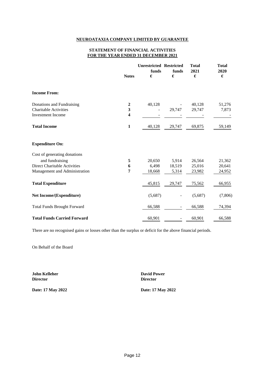#### **STATEMENT OF FINANCIAL ACTIVITIES FOR THE YEAR ENDED 31 DECEMBER 2021**

|                                                          | <b>Notes</b>     | <b>Unrestricted Restricted</b><br>funds<br>€ | funds<br>€               | <b>Total</b><br>2021<br>€ | <b>Total</b><br>2020<br>$\pmb{\epsilon}$ |
|----------------------------------------------------------|------------------|----------------------------------------------|--------------------------|---------------------------|------------------------------------------|
| <b>Income From:</b>                                      |                  |                                              |                          |                           |                                          |
| Donations and Fundraising                                | $\boldsymbol{2}$ | 40,128                                       |                          | 40,128                    | 51,276                                   |
| <b>Charitable Activities</b><br><b>Investment</b> Income | 3<br>4           |                                              | 29,747                   | 29,747                    | 7,873                                    |
| <b>Total Income</b>                                      | 1                | 40,128                                       | 29,747                   | 69,875                    | 59,149                                   |
| <b>Expenditure On:</b>                                   |                  |                                              |                          |                           |                                          |
| Cost of generating donations                             |                  |                                              |                          |                           |                                          |
| and fundraising                                          | 5                | 20,650                                       | 5,914                    | 26,564                    | 21,362                                   |
| <b>Direct Charitable Activities</b>                      | 6                | 6,498                                        | 18,519                   | 25,016                    | 20,641                                   |
| Management and Administration                            | 7                | 18,668                                       | 5,314                    | 23,982                    | 24,952                                   |
| <b>Total Expenditure</b>                                 |                  | 45,815                                       | 29,747                   | 75,562                    | 66,955                                   |
| <b>Net Income/(Expenditure)</b>                          |                  | (5,687)                                      |                          | (5,687)                   | (7,806)                                  |
| <b>Total Funds Brought Forward</b>                       |                  | 66,588                                       | $\overline{\phantom{a}}$ | 66,588                    | 74,394                                   |
| <b>Total Funds Carried Forward</b>                       |                  | 60,901                                       |                          | 60,901                    | 66,588                                   |

There are no recognised gains or losses other than the surplus or deficit for the above financial periods.

On Behalf of the Board

**Director Director**

**Date: 17 May 2022 Date: 17 May 2022**

**John Kelleher David Power**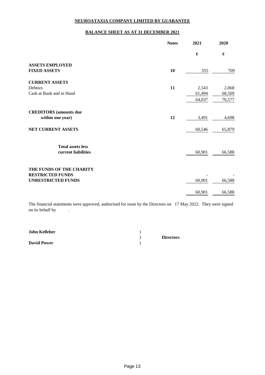# **BALANCE SHEET AS AT 31 DECEMBER 2021**

|                               | <b>Notes</b> | 2021             | 2020       |
|-------------------------------|--------------|------------------|------------|
|                               |              | $\pmb{\epsilon}$ | $\epsilon$ |
| <b>ASSETS EMPLOYED</b>        |              |                  |            |
| <b>FIXED ASSETS</b>           | 10           | 355              | 709        |
| <b>CURRENT ASSETS</b>         |              |                  |            |
| Debtors                       | 11           | 2,543            | 2,068      |
| Cash at Bank and in Hand      |              | 61,494           | 68,509     |
|                               |              | 64,037           | 70,577     |
| <b>CREDITORS</b> (amounts due |              |                  |            |
| within one year)              | 12           | 3,491            | 4,698      |
| NET CURRENT ASSETS            |              | 60,546           | 65,879     |
| <b>Total assets less</b>      |              |                  |            |
| current liabilities           |              | 60,901           | 66,588     |
|                               |              |                  |            |
| THE FUNDS OF THE CHARITY      |              |                  |            |
| <b>RESTRICTED FUNDS</b>       |              |                  |            |
| <b>UNRESTRICTED FUNDS</b>     |              | 60,901           | 66,588     |
|                               |              | 60,901           | 66,588     |

The financial statements were approved, authorised for issue by the Directors on 17 May 2022. They were signed on its behalf by .

| <b>John Kelleher</b> |                  |
|----------------------|------------------|
|                      | <b>Directors</b> |
| <b>David Power</b>   |                  |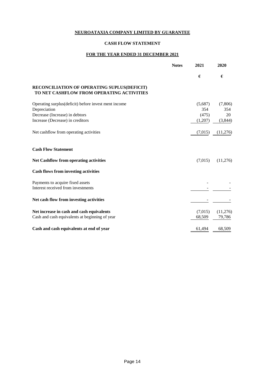# **CASH FLOW STATEMENT**

# **FOR THE YEAR ENDED 31 DECEMBER 2021**

|                                                                                                                                            | <b>Notes</b> | 2021                               | 2020                            |
|--------------------------------------------------------------------------------------------------------------------------------------------|--------------|------------------------------------|---------------------------------|
|                                                                                                                                            |              | €                                  | €                               |
| RECONCILIATION OF OPERATING SUPLUS(DEFICIT)<br>TO NET CASHFLOW FROM OPERATING ACTIVITIES                                                   |              |                                    |                                 |
| Operating surplus(deficit) before invest ment income<br>Depreciation<br>Decrease (Increase) in debtors<br>Increase (Decrease) in creditors |              | (5,687)<br>354<br>(475)<br>(1,207) | (7,806)<br>354<br>20<br>(3,844) |
| Net cashflow from operating activities                                                                                                     |              | (7,015)                            | (11,276)                        |
| <b>Cash Flow Statement</b>                                                                                                                 |              |                                    |                                 |
| <b>Net Cashflow from operating activities</b>                                                                                              |              | (7,015)                            | (11,276)                        |
| <b>Cash flows from investing activities</b>                                                                                                |              |                                    |                                 |
| Payments to acquire fixed assets<br>Interest received from investments                                                                     |              |                                    |                                 |
| Net cash flow from investing activities                                                                                                    |              |                                    |                                 |
| Net increase in cash and cash equivalents<br>Cash and cash equivalents at beginning of year                                                |              | (7,015)<br>68,509                  | (11,276)<br>79,786              |
| Cash and cash equivalents at end of year                                                                                                   |              | 61,494                             | 68,509                          |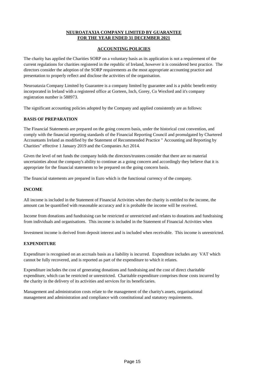# **NEUROATAXIA COMPANY LIMITED BY GUARANTEE FOR THE YEAR ENDED 31 DECEMBER 2021**

## **ACCOUNTING POLICIES**

The charity has applied the Charities SORP on a voluntary basis as its application is not a requirement of the current regulations for charities registered in the republic of Ireland, however it is considered best practice. The directors consider the adoption of the SORP requirements as the most appropriate accounting practice and presentation to properly reflect and disclose the activities of the organisation.

Neuroataxia Company Limited by Guarantee is a company limited by guarantee and is a public benefit entity incorporated in Ireland with a registered office at Gorteen, Inch, Gorey, Co Wexford and it's company registration number is 588973.

The significant accounting policies adopted by the Company and applied consistently are as follows:

## **BASIS OF PREPARATION**

The Financial Statements are prepared on the going concern basis, under the historical cost convention, and comply with the financial reporting standards of the Financial Reporting Council and promulgated by Chartered Accountants Ireland as modified by the Statement of Recommended Practice " Accounting and Reporting by Charities" effective 1 January 2019 and the Companies Act 2014.

Given the level of net funds the company holds the directors/trustees consider that there are no material uncertainties about the company's ability to continue as a going concern and accordingly they believe that it is appropriate for the financial statements to be prepared on the going concern basis.

The financial statements are prepared in Euro which is the functional currency of the company.

#### **INCOME**

All income is included in the Statement of Financial Activities when the charity is entitled to the income, the amount can be quantified with reasonable accuracy and it is probable the income will be received.

Income from donations and fundraising can be restricted or unrestricted and relates to donations and fundraising from individuals and organisations. This income is included in the Statement of Financial Activities when

Investment income is derived from deposit interest and is included when receivable. This income is unrestricted.

#### **EXPENDITURE**

Expenditure is recognised on an accruals basis as a liability is incurred. Expenditure includes any VAT which cannot be fully recovered, and is reported as part of the expenditure to which it relates.

Expenditure includes the cost of generating donations and fundraising and the cost of direct charitable expenditure, which can be restricted or unrestricted. Charitable expenditure comprises those costs incurred by the charity in the delivery of its activities and services for its beneficiaries.

Management and administration costs relate to the management of the charity's assets, organisational management and administration and compliance with constitutional and statutory requirements.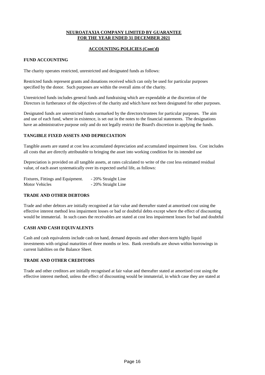# **NEUROATAXIA COMPANY LIMITED BY GUARANTEE FOR THE YEAR ENDED 31 DECEMBER 2021**

#### **ACCOUNTING POLICIES (Cont'd)**

#### **FUND ACCOUNTING**

The charity operates restricted, unrestricted and designated funds as follows:

Restricted funds represent grants and donations received which can only be used for particular purposes specified by the donor. Such purposes are within the overall aims of the charity.

Unrestricted funds includes general funds and fundraising which are expendable at the discretion of the Directors in furtherance of the objectives of the charity and which have not been designated for other purposes.

Designated funds are unrestricted funds earmarked by the directors/trustees for particular purposes. The aim and use of each fund, where in existence, is set out in the notes to the financial statements. The designations have an administrative purpose only and do not legally restrict the Board's discretion in applying the funds.

#### **TANGIBLE FIXED ASSETS AND DEPRECIATION**

Tangible assets are stated at cost less accumulated depreciation and accumulated impairment loss. Cost includes all costs that are directly attributable to bringing the asset into working condition for its intended use

Depreciation is provided on all tangible assets, at rates calculated to write of the cost less estimated residual value, of each asset systematically over its expected useful life, as follows:

| Fixtures, Fittings and Equipment. | - 20% Straight Line |
|-----------------------------------|---------------------|
| <b>Motor Vehicles</b>             | - 20% Straight Line |

#### **TRADE AND OTHER DEBTORS**

Trade and other debtors are initially recognised at fair value and thereafter stated at amortised cost using the effective interest method less impairment losses or bad or doubtful debts except where the effect of discounting would be immaterial. In such cases the receivables are stated at cost less impairment losses for bad and doubtful

#### **CASH AND CASH EQUIVALENTS**

Cash and cash equivalents include cash on hand, demand deposits and other short-term highly liquid investments with original maturities of three months or less. Bank overdrafts are shown within borrowings in current liabilties on the Balance Sheet.

# **TRADE AND OTHER CREDITORS**

Trade and other creditors are initially recognised at fair value and thereafter stated at amortised cost using the effective interest method, unless the effect of discounting would be immaterial, in which case they are stated at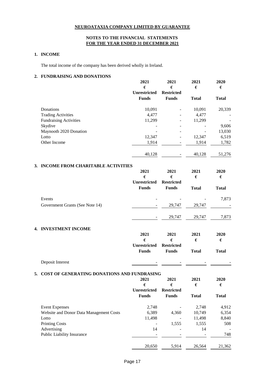## **NOTES TO THE FINANCIAL STATEMENTS FOR THE YEAR ENDED 31 DECEMBER 2021**

# **1. INCOME**

The total income of the company has been derived wholly in Ireland.

# **2. FUNDRAISING AND DONATIONS**

|                               | 2021<br>€           | 2021<br>€         | 2021<br>€    | 2020<br>€    |
|-------------------------------|---------------------|-------------------|--------------|--------------|
|                               | <b>Unrestricted</b> | <b>Restricted</b> |              |              |
|                               | <b>Funds</b>        | <b>Funds</b>      | <b>Total</b> | <b>Total</b> |
| Donations                     | 10,091              |                   | 10,091       | 20,339       |
| <b>Trading Activities</b>     | 4,477               |                   | 4,477        |              |
| <b>Fundraising Activities</b> | 11,299              |                   | 11,299       |              |
| Skydive                       |                     |                   |              | 9,606        |
| Maynooth 2020 Donation        |                     |                   |              | 13,030       |
| Lotto                         | 12,347              |                   | 12,347       | 6,519        |
| Other Income                  | 1,914               |                   | 1,914        | 1,782        |
|                               | 40.128              |                   | 40.128       | 51,276       |

## **3. INCOME FROM CHARITABLE ACTIVITIES**

|                                                | 2021<br>€<br><b>Unrestricted</b>    | 2021<br>€<br><b>Restricted</b>    | 2021<br>€        | 2020<br>€    |
|------------------------------------------------|-------------------------------------|-----------------------------------|------------------|--------------|
|                                                | <b>Funds</b>                        | <b>Funds</b>                      | <b>Total</b>     | <b>Total</b> |
| Events                                         |                                     |                                   |                  | 7,873        |
| Government Grants (See Note 14)                |                                     | 29,747                            | 29,747           |              |
|                                                |                                     | 29,747                            | 29,747           | 7,873        |
| 4. INVESTMENT INCOME                           |                                     |                                   |                  |              |
|                                                | 2021                                | 2021                              | 2021             | 2020         |
|                                                | €                                   | €                                 | $\pmb{\epsilon}$ | €            |
|                                                | <b>Unrestricted</b><br><b>Funds</b> | <b>Restricted</b><br><b>Funds</b> | <b>Total</b>     | <b>Total</b> |
| Deposit Interest                               |                                     |                                   |                  |              |
| 5. COST OF GENERATING DONATIONS AND FUNDRASING |                                     |                                   |                  |              |
|                                                | 2021                                | 2021                              | 2021             | 2020         |
|                                                | €<br><b>Unrestricted</b>            | €<br><b>Restricted</b>            | $\epsilon$       | €            |
|                                                | <b>Funds</b>                        | <b>Funds</b>                      | <b>Total</b>     | <b>Total</b> |
| <b>Event Expenses</b>                          | 2,748                               |                                   | 2,748            | 4,912        |
| Website and Donor Data Management Costs        | 6,389                               | 4,360                             | 10,749           | 6,354        |
| Lotto                                          | 11,498                              | $\blacksquare$                    | 11,498           | 8,840        |
| <b>Printing Costs</b>                          |                                     | 1,555                             | 1,555            | 508          |
| Advertising                                    | 14                                  |                                   | 14               |              |
| Public Liability Insurance                     |                                     |                                   |                  | 748          |
|                                                | 20,650                              | 5,914                             | 26,564           | 21,362       |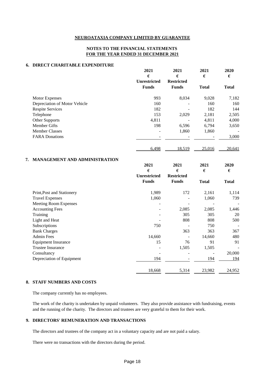#### **NOTES TO THE FINANCIAL STATEMENTS FOR THE YEAR ENDED 31 DECEMBER 2021**

#### **6. DIRECT CHARITABLE EXPENDITURE**

|                               | 2021<br>€                           | 2021<br>€                         | 2021<br>€    | 2020<br>€    |
|-------------------------------|-------------------------------------|-----------------------------------|--------------|--------------|
|                               | <b>Unrestricted</b><br><b>Funds</b> | <b>Restricted</b><br><b>Funds</b> | <b>Total</b> | <b>Total</b> |
| <b>Motor Expenses</b>         | 993                                 | 8,034                             | 9,028        | 7,182        |
| Depreciation of Motor Vehicle | 160                                 | -                                 | 160          | 160          |
| <b>Respite Services</b>       | 182                                 |                                   | 182          | 144          |
| Telephone                     | 153                                 | 2,029                             | 2,181        | 2,505        |
| Other Supports                | 4,811                               |                                   | 4,811        | 4,000        |
| <b>Member Gifts</b>           | 198                                 | 6,596                             | 6,794        | 3,650        |
| <b>Member Classes</b>         |                                     | 1,860                             | 1,860        |              |
| <b>FARA</b> Donations         |                                     |                                   |              | 3,000        |
|                               | 6,498                               | 18,519                            | 25,016       | 20,641       |

## **7. MANAGEMENT AND ADMINISTRATION**

|                              | 2021<br>€                           | 2021<br>€                         | 2021<br>€    | 2020<br>€    |
|------------------------------|-------------------------------------|-----------------------------------|--------------|--------------|
|                              | <b>Unrestricted</b><br><b>Funds</b> | <b>Restricted</b><br><b>Funds</b> | <b>Total</b> | <b>Total</b> |
| Print, Post and Stationery   | 1,989                               | 172                               | 2,161        | 1,114        |
| <b>Travel Expenses</b>       | 1,060                               |                                   | 1,060        | 739          |
| <b>Meeting Room Expenses</b> |                                     |                                   |              |              |
| <b>Accounting Fees</b>       |                                     | 2,085                             | 2,085        | 1,446        |
| Training                     |                                     | 305                               | 305          | 20           |
| Light and Heat               |                                     | 808                               | 808          | 500          |
| Subscriptions                | 750                                 |                                   | 750          |              |
| <b>Bank Charges</b>          |                                     | 363                               | 363          | 367          |
| <b>Admin Fees</b>            | 14,660                              |                                   | 14,660       | 480          |
| <b>Equipment Insurance</b>   | 15                                  | 76                                | 91           | 91           |
| <b>Trustee Insurance</b>     |                                     | 1,505                             | 1,505        |              |
| Consultancy                  |                                     |                                   |              | 20,000       |
| Depreciation of Equipment    | 194                                 |                                   | 194          | 194          |
|                              | 18,668                              | 5,314                             | 23,982       | 24,952       |

# **8. STAFF NUMBERS AND COSTS**

The company currently has no employees.

The work of the charity is undertaken by unpaid volunteers. They also provide assistance with fundraising, events and the running of the charity. The directors and trustees are very grateful to them for their work.

#### **9. DIRECTORS' REMUNERATION AND TRANSACTIONS**

The directors and trustees of the company act in a voluntary capacity and are not paid a salary.

There were no transactions with the directors during the period.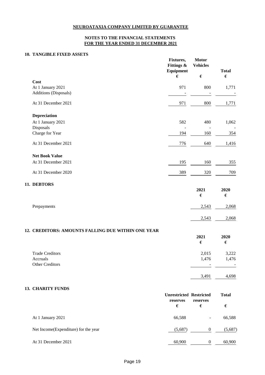# **NOTES TO THE FINANCIAL STATEMENTS FOR THE YEAR ENDED 31 DECEMBER 2021**

## **10. TANGIBLE FIXED ASSETS**

|                                                    | Fixtures,<br>Fittings &<br>Equipment<br>€ | <b>Motor</b><br><b>Vehicles</b><br>$\pmb{\epsilon}$ | <b>Total</b><br>€        |
|----------------------------------------------------|-------------------------------------------|-----------------------------------------------------|--------------------------|
| Cost                                               |                                           |                                                     |                          |
| At 1 January 2021                                  | 971                                       | 800                                                 | 1,771                    |
| Additions (Disposals)                              |                                           |                                                     |                          |
| At 31 December 2021                                | 971                                       | 800                                                 | 1,771                    |
| Depreciation                                       |                                           |                                                     |                          |
| At 1 January 2021                                  | 582                                       | 480                                                 | 1,062                    |
| Disposals                                          |                                           |                                                     |                          |
| Charge for Year                                    | 194                                       | 160                                                 | 354                      |
| At 31 December 2021                                | 776                                       | 640                                                 | 1,416                    |
| <b>Net Book Value</b>                              |                                           |                                                     |                          |
| At 31 December 2021                                | 195                                       | 160                                                 | 355                      |
| At 31 December 2020                                | 389                                       | 320                                                 | 709                      |
| 11. DEBTORS                                        |                                           |                                                     |                          |
|                                                    |                                           | 2021<br>$\pmb{\epsilon}$                            | 2020<br>$\pmb{\epsilon}$ |
| Prepayments                                        |                                           | 2,543                                               | 2,068                    |
|                                                    |                                           | 2,543                                               | 2,068                    |
| 12. CREDITORS: AMOUNTS FALLING DUE WITHIN ONE YEAR |                                           |                                                     |                          |
|                                                    |                                           | 2021                                                | 2020                     |
|                                                    |                                           | $\pmb{\epsilon}$                                    | $\pmb{\epsilon}$         |
| <b>Trade Creditors</b>                             |                                           | 2,015                                               | 3,222                    |
| Accruals                                           |                                           | 1,476                                               | 1,476                    |
| Other Creditors                                    |                                           |                                                     |                          |
|                                                    |                                           | 3,491                                               | 4,698                    |
| <b>13. CHARITY FUNDS</b>                           |                                           |                                                     |                          |
|                                                    | <b>Unrestricted Restricted</b>            |                                                     | <b>Total</b>             |

|                                      | um estrictus rustrictus<br>reserves | reserves                 | 1 vuu   |
|--------------------------------------|-------------------------------------|--------------------------|---------|
|                                      | €                                   | €                        | €       |
| At 1 January 2021                    | 66,588                              | $\overline{\phantom{a}}$ | 66,588  |
| Net Income(Expenditure) for the year | (5,687)                             | 0                        | (5,687) |
| At 31 December 2021                  | 60,900                              | $\theta$                 | 60,900  |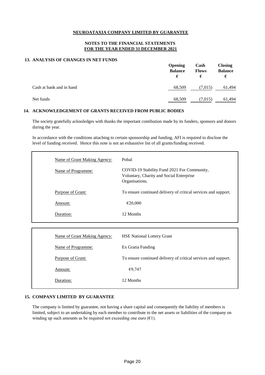## **NOTES TO THE FINANCIAL STATEMENTS FOR THE YEAR ENDED 31 DECEMBER 2021**

#### **13. ANALYSIS OF CHANGES IN NET FUNDS**

|                          | <b>Opening</b><br><b>Balance</b><br>€ | Cash<br><b>Flows</b> | <b>Closing</b><br><b>Balance</b> |
|--------------------------|---------------------------------------|----------------------|----------------------------------|
| Cash at bank and in hand | 68,509                                | (7,015)              | 61,494                           |
| Net funds                | 68,509                                | (7,015)              | 61.494                           |

#### **14. ACKNOWLEDGEMENT OF GRANTS RECEIVED FROM PUBLIC BODIES**

The society gratefully acknoledges with thanks the important contibution made by its funders, sponsors and donors during the year.

In accordance with the conditions attaching to certain sponsorship and funding, AFI is required to disclose the level of funding received. Hence this note is not an exhaustive list of all grants/funding received.

| Name of Grant Making Agency: | Pobal                                                                                                     |
|------------------------------|-----------------------------------------------------------------------------------------------------------|
| Name of Programme:           | COVID-19 Stability Fund 2021 For Community,<br>Voluntary, Charity and Social Enterprise<br>Organisations. |
| Purpose of Grant:            | To ensure continued delivery of critical services and support.                                            |
| Amount:                      | €20,000                                                                                                   |
| Duration:                    | 12 Months                                                                                                 |
|                              |                                                                                                           |
|                              |                                                                                                           |
| Name of Grant Making Agency: | <b>HSE National Lottery Grant</b>                                                                         |
| Name of Programme:           | Ex Gratia Funding                                                                                         |
| Purpose of Grant:            | To ensure continued delivery of critical services and support.                                            |
| Amount:                      | €9,747                                                                                                    |

## **15. COMPANY LIMITED BY GUARANTEE**

The company is limited by guarantee, not having a share capital and consequently the liability of members is limited, subject to an undertaking by each member to contribute to the net assets or liabilities of the company on winding up such amounts as be required not exceeding one euro  $(€1)$ .